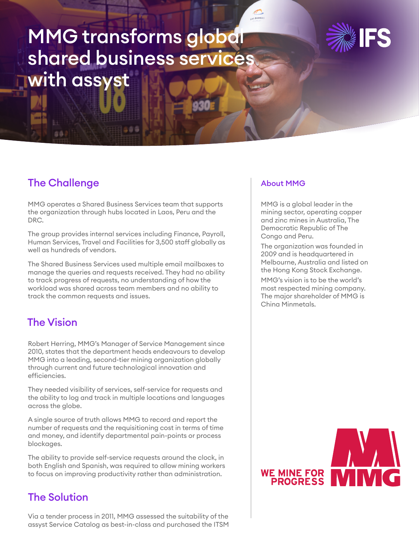# MMG transforms global shared business services with assyst



## The Challenge

MMG operates a Shared Business Services team that supports the organization through hubs located in Laos, Peru and the DRC.

The group provides internal services including Finance, Payroll, Human Services, Travel and Facilities for 3,500 staff globally as well as hundreds of vendors.

The Shared Business Services used multiple email mailboxes to manage the queries and requests received. They had no ability to track progress of requests, no understanding of how the workload was shared across team members and no ability to track the common requests and issues.

## The Vision

Robert Herring, MMG's Manager of Service Management since 2010, states that the department heads endeavours to develop MMG into a leading, second-tier mining organization globally through current and future technological innovation and efficiencies.

They needed visibility of services, self-service for requests and the ability to log and track in multiple locations and languages across the globe.

A single source of truth allows MMG to record and report the number of requests and the requisitioning cost in terms of time and money, and identify departmental pain-points or process blockages.

The ability to provide self-service requests around the clock, in both English and Spanish, was required to allow mining workers to focus on improving productivity rather than administration.

## The Solution

Via a tender process in 2011, MMG assessed the suitability of the assyst Service Catalog as best-in-class and purchased the ITSM

## About MMG

 $\sim$  0.44

MMG is a global leader in the mining sector, operating copper and zinc mines in Australia, The Democratic Republic of The Congo and Peru.

The organization was founded in 2009 and is headquartered in Melbourne, Australia and listed on the Hong Kong Stock Exchange. MMG's vision is to be the world's most respected mining company. The major shareholder of MMG is China Minmetals.